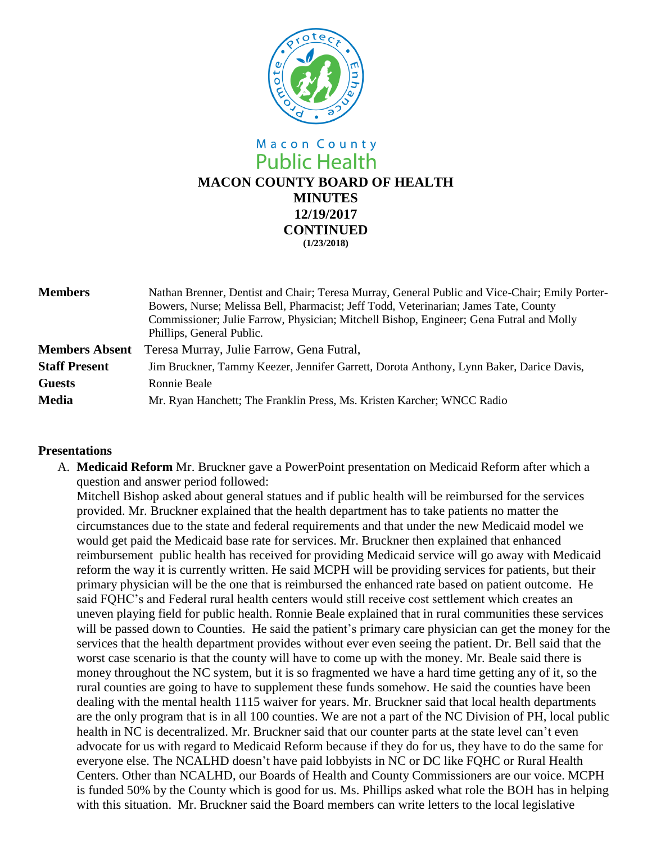

# Macon County **Public Health MACON COUNTY BOARD OF HEALTH MINUTES 12/19/2017 CONTINUED (1/23/2018)**

| <b>Members</b>        | Nathan Brenner, Dentist and Chair; Teresa Murray, General Public and Vice-Chair; Emily Porter-<br>Bowers, Nurse; Melissa Bell, Pharmacist; Jeff Todd, Veterinarian; James Tate, County<br>Commissioner; Julie Farrow, Physician; Mitchell Bishop, Engineer; Gena Futral and Molly<br>Phillips, General Public. |
|-----------------------|----------------------------------------------------------------------------------------------------------------------------------------------------------------------------------------------------------------------------------------------------------------------------------------------------------------|
| <b>Members Absent</b> | Teresa Murray, Julie Farrow, Gena Futral,                                                                                                                                                                                                                                                                      |
| <b>Staff Present</b>  | Jim Bruckner, Tammy Keezer, Jennifer Garrett, Dorota Anthony, Lynn Baker, Darice Davis,                                                                                                                                                                                                                        |
| <b>Guests</b>         | Ronnie Beale                                                                                                                                                                                                                                                                                                   |
| <b>Media</b>          | Mr. Ryan Hanchett; The Franklin Press, Ms. Kristen Karcher; WNCC Radio                                                                                                                                                                                                                                         |

## **Presentations**

A. **Medicaid Reform** Mr. Bruckner gave a PowerPoint presentation on Medicaid Reform after which a question and answer period followed:

Mitchell Bishop asked about general statues and if public health will be reimbursed for the services provided. Mr. Bruckner explained that the health department has to take patients no matter the circumstances due to the state and federal requirements and that under the new Medicaid model we would get paid the Medicaid base rate for services. Mr. Bruckner then explained that enhanced reimbursement public health has received for providing Medicaid service will go away with Medicaid reform the way it is currently written. He said MCPH will be providing services for patients, but their primary physician will be the one that is reimbursed the enhanced rate based on patient outcome. He said FQHC's and Federal rural health centers would still receive cost settlement which creates an uneven playing field for public health. Ronnie Beale explained that in rural communities these services will be passed down to Counties. He said the patient's primary care physician can get the money for the services that the health department provides without ever even seeing the patient. Dr. Bell said that the worst case scenario is that the county will have to come up with the money. Mr. Beale said there is money throughout the NC system, but it is so fragmented we have a hard time getting any of it, so the rural counties are going to have to supplement these funds somehow. He said the counties have been dealing with the mental health 1115 waiver for years. Mr. Bruckner said that local health departments are the only program that is in all 100 counties. We are not a part of the NC Division of PH, local public health in NC is decentralized. Mr. Bruckner said that our counter parts at the state level can't even advocate for us with regard to Medicaid Reform because if they do for us, they have to do the same for everyone else. The NCALHD doesn't have paid lobbyists in NC or DC like FQHC or Rural Health Centers. Other than NCALHD, our Boards of Health and County Commissioners are our voice. MCPH is funded 50% by the County which is good for us. Ms. Phillips asked what role the BOH has in helping with this situation. Mr. Bruckner said the Board members can write letters to the local legislative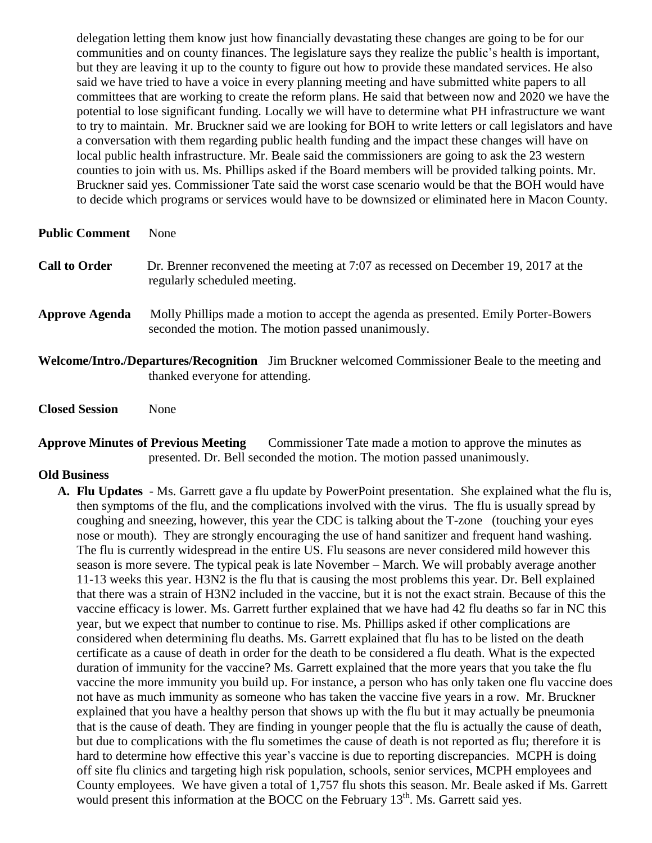delegation letting them know just how financially devastating these changes are going to be for our communities and on county finances. The legislature says they realize the public's health is important, but they are leaving it up to the county to figure out how to provide these mandated services. He also said we have tried to have a voice in every planning meeting and have submitted white papers to all committees that are working to create the reform plans. He said that between now and 2020 we have the potential to lose significant funding. Locally we will have to determine what PH infrastructure we want to try to maintain. Mr. Bruckner said we are looking for BOH to write letters or call legislators and have a conversation with them regarding public health funding and the impact these changes will have on local public health infrastructure. Mr. Beale said the commissioners are going to ask the 23 western counties to join with us. Ms. Phillips asked if the Board members will be provided talking points. Mr. Bruckner said yes. Commissioner Tate said the worst case scenario would be that the BOH would have to decide which programs or services would have to be downsized or eliminated here in Macon County.

#### **Public Comment** None

| <b>Call to Order</b> | Dr. Brenner reconvened the meeting at 7:07 as recessed on December 19, 2017 at the |
|----------------------|------------------------------------------------------------------------------------|
|                      | regularly scheduled meeting.                                                       |

- Approve Agenda Molly Phillips made a motion to accept the agenda as presented. Emily Porter-Bowers seconded the motion. The motion passed unanimously.
- **Welcome/Intro./Departures/Recognition** Jim Bruckner welcomed Commissioner Beale to the meeting and thanked everyone for attending.
- **Closed Session** None

### **Approve Minutes of Previous Meeting** Commissioner Tate made a motion to approve the minutes as presented. Dr. Bell seconded the motion. The motion passed unanimously.

#### **Old Business**

**A. Flu Updates** - Ms. Garrett gave a flu update by PowerPoint presentation. She explained what the flu is, then symptoms of the flu, and the complications involved with the virus. The flu is usually spread by coughing and sneezing, however, this year the CDC is talking about the T-zone (touching your eyes nose or mouth). They are strongly encouraging the use of hand sanitizer and frequent hand washing. The flu is currently widespread in the entire US. Flu seasons are never considered mild however this season is more severe. The typical peak is late November – March. We will probably average another 11-13 weeks this year. H3N2 is the flu that is causing the most problems this year. Dr. Bell explained that there was a strain of H3N2 included in the vaccine, but it is not the exact strain. Because of this the vaccine efficacy is lower. Ms. Garrett further explained that we have had 42 flu deaths so far in NC this year, but we expect that number to continue to rise. Ms. Phillips asked if other complications are considered when determining flu deaths. Ms. Garrett explained that flu has to be listed on the death certificate as a cause of death in order for the death to be considered a flu death. What is the expected duration of immunity for the vaccine? Ms. Garrett explained that the more years that you take the flu vaccine the more immunity you build up. For instance, a person who has only taken one flu vaccine does not have as much immunity as someone who has taken the vaccine five years in a row. Mr. Bruckner explained that you have a healthy person that shows up with the flu but it may actually be pneumonia that is the cause of death. They are finding in younger people that the flu is actually the cause of death, but due to complications with the flu sometimes the cause of death is not reported as flu; therefore it is hard to determine how effective this year's vaccine is due to reporting discrepancies. MCPH is doing off site flu clinics and targeting high risk population, schools, senior services, MCPH employees and County employees. We have given a total of 1,757 flu shots this season. Mr. Beale asked if Ms. Garrett would present this information at the BOCC on the February 13<sup>th</sup>. Ms. Garrett said yes.